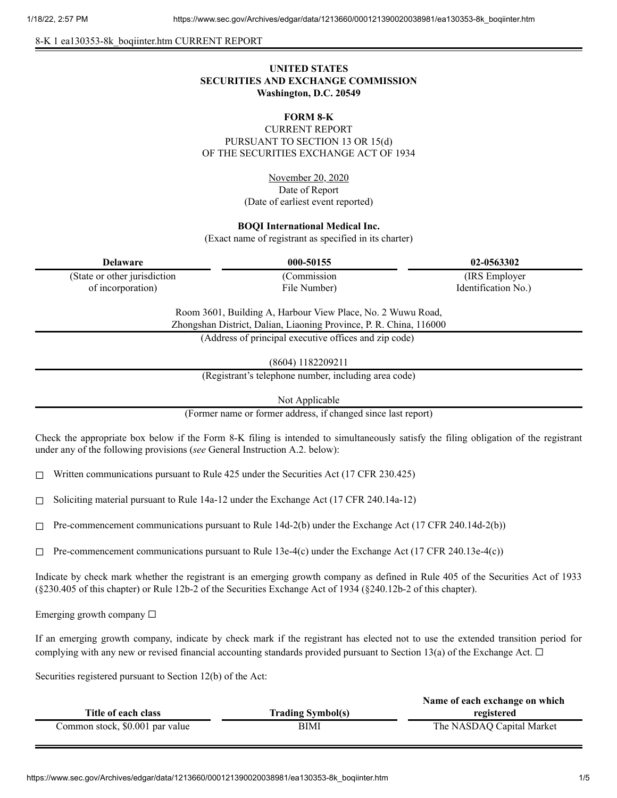8-K 1 ea130353-8k\_boqiinter.htm CURRENT REPORT

# **UNITED STATES SECURITIES AND EXCHANGE COMMISSION Washington, D.C. 20549**

# **FORM 8-K**

CURRENT REPORT PURSUANT TO SECTION 13 OR 15(d) OF THE SECURITIES EXCHANGE ACT OF 1934

> November 20, 2020 Date of Report (Date of earliest event reported)

### **BOQI International Medical Inc.**

(Exact name of registrant as specified in its charter)

| Delaware                     | 000-50155         | 02-0563302          |
|------------------------------|-------------------|---------------------|
| (State or other jurisdiction | <b>Commission</b> | (IRS Employer)      |
| of incorporation)            | File Number)      | Identification No.) |

Room 3601, Building A, Harbour View Place, No. 2 Wuwu Road, Zhongshan District, Dalian, Liaoning Province, P. R. China, 116000

(Address of principal executive offices and zip code)

(8604) 1182209211

(Registrant's telephone number, including area code)

Not Applicable

(Former name or former address, if changed since last report)

Check the appropriate box below if the Form 8-K filing is intended to simultaneously satisfy the filing obligation of the registrant under any of the following provisions (*see* General Instruction A.2. below):

☐ Written communications pursuant to Rule 425 under the Securities Act (17 CFR 230.425)

 $\Box$  Soliciting material pursuant to Rule 14a-12 under the Exchange Act (17 CFR 240.14a-12)

 $\Box$  Pre-commencement communications pursuant to Rule 14d-2(b) under the Exchange Act (17 CFR 240.14d-2(b))

 $\Box$  Pre-commencement communications pursuant to Rule 13e-4(c) under the Exchange Act (17 CFR 240.13e-4(c))

Indicate by check mark whether the registrant is an emerging growth company as defined in Rule 405 of the Securities Act of 1933 (§230.405 of this chapter) or Rule 12b-2 of the Securities Exchange Act of 1934 (§240.12b-2 of this chapter).

Emerging growth company  $\Box$ 

If an emerging growth company, indicate by check mark if the registrant has elected not to use the extended transition period for complying with any new or revised financial accounting standards provided pursuant to Section 13(a) of the Exchange Act.  $\Box$ 

Securities registered pursuant to Section 12(b) of the Act:

|                                 |                          | Name of each exchange on which |
|---------------------------------|--------------------------|--------------------------------|
| Title of each class             | <b>Trading Symbol(s)</b> | registered                     |
| Common stock, \$0.001 par value | BIMI                     | The NASDAQ Capital Market      |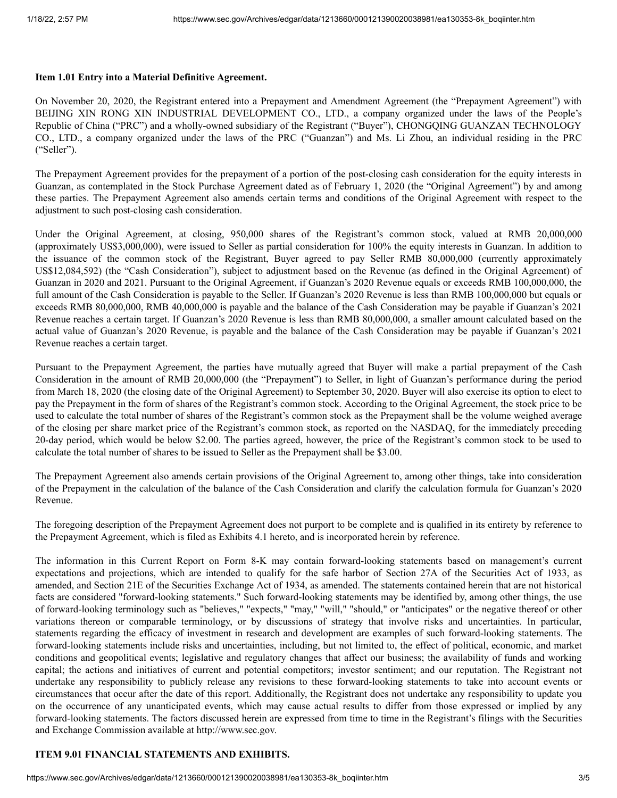#### **Item 1.01 Entry into a Material Definitive Agreement.**

On November 20, 2020, the Registrant entered into a Prepayment and Amendment Agreement (the "Prepayment Agreement") with BEIJING XIN RONG XIN INDUSTRIAL DEVELOPMENT CO., LTD., a company organized under the laws of the People's Republic of China ("PRC") and a wholly-owned subsidiary of the Registrant ("Buyer"), CHONGQING GUANZAN TECHNOLOGY CO., LTD., a company organized under the laws of the PRC ("Guanzan") and Ms. Li Zhou, an individual residing in the PRC ("Seller").

The Prepayment Agreement provides for the prepayment of a portion of the post-closing cash consideration for the equity interests in Guanzan, as contemplated in the Stock Purchase Agreement dated as of February 1, 2020 (the "Original Agreement") by and among these parties. The Prepayment Agreement also amends certain terms and conditions of the Original Agreement with respect to the adjustment to such post-closing cash consideration.

Under the Original Agreement, at closing, 950,000 shares of the Registrant's common stock, valued at RMB 20,000,000 (approximately US\$3,000,000), were issued to Seller as partial consideration for 100% the equity interests in Guanzan. In addition to the issuance of the common stock of the Registrant, Buyer agreed to pay Seller RMB 80,000,000 (currently approximately US\$12,084,592) (the "Cash Consideration"), subject to adjustment based on the Revenue (as defined in the Original Agreement) of Guanzan in 2020 and 2021. Pursuant to the Original Agreement, if Guanzan's 2020 Revenue equals or exceeds RMB 100,000,000, the full amount of the Cash Consideration is payable to the Seller. If Guanzan's 2020 Revenue is less than RMB 100,000,000 but equals or exceeds RMB 80,000,000, RMB 40,000,000 is payable and the balance of the Cash Consideration may be payable if Guanzan's 2021 Revenue reaches a certain target. If Guanzan's 2020 Revenue is less than RMB 80,000,000, a smaller amount calculated based on the actual value of Guanzan's 2020 Revenue, is payable and the balance of the Cash Consideration may be payable if Guanzan's 2021 Revenue reaches a certain target.

Pursuant to the Prepayment Agreement, the parties have mutually agreed that Buyer will make a partial prepayment of the Cash Consideration in the amount of RMB 20,000,000 (the "Prepayment") to Seller, in light of Guanzan's performance during the period from March 18, 2020 (the closing date of the Original Agreement) to September 30, 2020. Buyer will also exercise its option to elect to pay the Prepayment in the form of shares of the Registrant's common stock. According to the Original Agreement, the stock price to be used to calculate the total number of shares of the Registrant's common stock as the Prepayment shall be the volume weighed average of the closing per share market price of the Registrant's common stock, as reported on the NASDAQ, for the immediately preceding 20-day period, which would be below \$2.00. The parties agreed, however, the price of the Registrant's common stock to be used to calculate the total number of shares to be issued to Seller as the Prepayment shall be \$3.00.

The Prepayment Agreement also amends certain provisions of the Original Agreement to, among other things, take into consideration of the Prepayment in the calculation of the balance of the Cash Consideration and clarify the calculation formula for Guanzan's 2020 Revenue.

The foregoing description of the Prepayment Agreement does not purport to be complete and is qualified in its entirety by reference to the Prepayment Agreement, which is filed as Exhibits 4.1 hereto, and is incorporated herein by reference.

The information in this Current Report on Form 8-K may contain forward-looking statements based on management's current expectations and projections, which are intended to qualify for the safe harbor of Section 27A of the Securities Act of 1933, as amended, and Section 21E of the Securities Exchange Act of 1934, as amended. The statements contained herein that are not historical facts are considered "forward-looking statements." Such forward-looking statements may be identified by, among other things, the use of forward-looking terminology such as "believes," "expects," "may," "will," "should," or "anticipates" or the negative thereof or other variations thereon or comparable terminology, or by discussions of strategy that involve risks and uncertainties. In particular, statements regarding the efficacy of investment in research and development are examples of such forward-looking statements. The forward-looking statements include risks and uncertainties, including, but not limited to, the effect of political, economic, and market conditions and geopolitical events; legislative and regulatory changes that affect our business; the availability of funds and working capital; the actions and initiatives of current and potential competitors; investor sentiment; and our reputation. The Registrant not undertake any responsibility to publicly release any revisions to these forward-looking statements to take into account events or circumstances that occur after the date of this report. Additionally, the Registrant does not undertake any responsibility to update you on the occurrence of any unanticipated events, which may cause actual results to differ from those expressed or implied by any forward-looking statements. The factors discussed herein are expressed from time to time in the Registrant's filings with the Securities and Exchange Commission available at http://www.sec.gov.

### **ITEM 9.01 FINANCIAL STATEMENTS AND EXHIBITS.**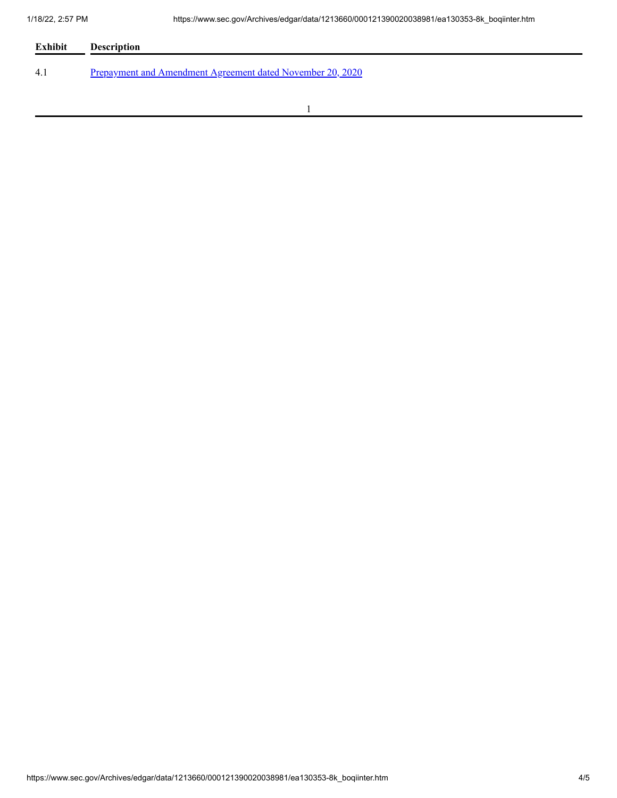| Exhibit | <b>Description</b>                                         |  |  |
|---------|------------------------------------------------------------|--|--|
| 4.1     | Prepayment and Amendment Agreement dated November 20, 2020 |  |  |
|         |                                                            |  |  |